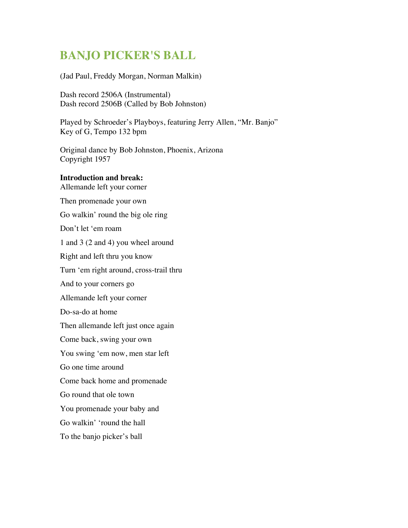## **BANJO PICKER'S BALL**

(Jad Paul, Freddy Morgan, Norman Malkin)

Dash record 2506A (Instrumental) Dash record 2506B (Called by Bob Johnston)

Played by Schroeder's Playboys, featuring Jerry Allen, "Mr. Banjo" Key of G, Tempo 132 bpm

Original dance by Bob Johnston, Phoenix, Arizona Copyright 1957

## **Introduction and break:**

Allemande left your corner Then promenade your own Go walkin' round the big ole ring Don't let 'em roam 1 and 3 (2 and 4) you wheel around Right and left thru you know Turn 'em right around, cross-trail thru And to your corners go Allemande left your corner Do-sa-do at home Then allemande left just once again Come back, swing your own You swing 'em now, men star left Go one time around Come back home and promenade Go round that ole town You promenade your baby and Go walkin' 'round the hall To the banjo picker's ball